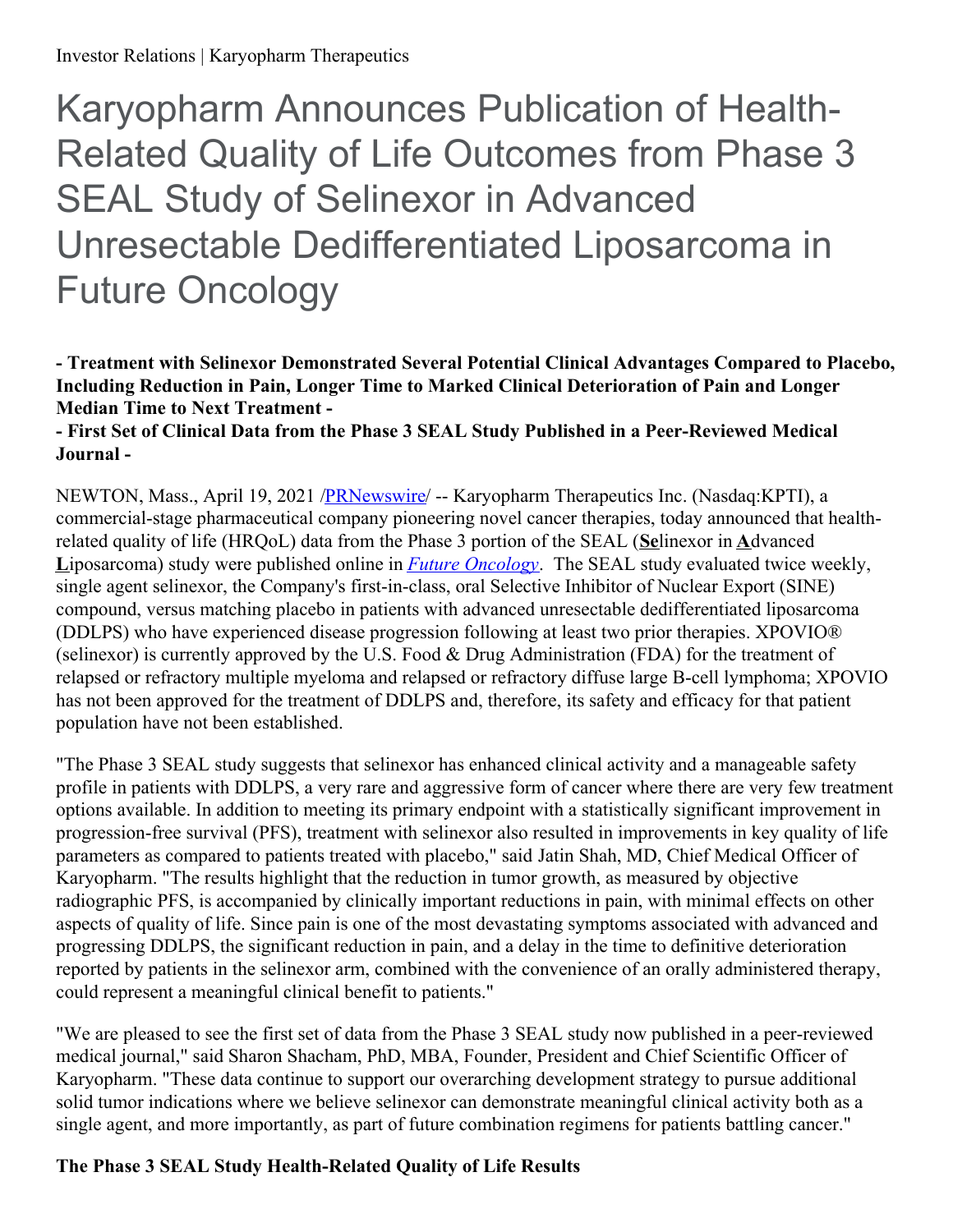# Karyopharm Announces Publication of Health-Related Quality of Life Outcomes from Phase 3 SEAL Study of Selinexor in Advanced Unresectable Dedifferentiated Liposarcoma in Future Oncology

# **- Treatment with Selinexor Demonstrated Several Potential Clinical Advantages Compared to Placebo, Including Reduction in Pain, Longer Time to Marked Clinical Deterioration of Pain and Longer Median Time to Next Treatment -**

## **- First Set of Clinical Data from the Phase 3 SEAL Study Published in a Peer-Reviewed Medical Journal -**

NEWTON, Mass., April 19, 2021 [/PRNewswire](http://www.prnewswire.com/)/ -- Karyopharm Therapeutics Inc. (Nasdaq:KPTI), a commercial-stage pharmaceutical company pioneering novel cancer therapies, today announced that healthrelated quality of life (HRQoL) data from the Phase 3 portion of the SEAL (**Se**linexor in **A**dvanced **L**iposarcoma) study were published online in *Future [Oncology](https://c212.net/c/link/?t=0&l=en&o=3132156-1&h=4069226434&u=https%3A%2F%2Fwww.futuremedicine.com%2Fdoi%2F10.2217%2FFON-2021-0284&a=Future+Oncology)*. The SEAL study evaluated twice weekly, single agent selinexor, the Company's first-in-class, oral Selective Inhibitor of Nuclear Export (SINE) compound, versus matching placebo in patients with advanced unresectable dedifferentiated liposarcoma (DDLPS) who have experienced disease progression following at least two prior therapies. XPOVIO® (selinexor) is currently approved by the U.S. Food & Drug Administration (FDA) for the treatment of relapsed or refractory multiple myeloma and relapsed or refractory diffuse large B-cell lymphoma; XPOVIO has not been approved for the treatment of DDLPS and, therefore, its safety and efficacy for that patient population have not been established.

"The Phase 3 SEAL study suggests that selinexor has enhanced clinical activity and a manageable safety profile in patients with DDLPS, a very rare and aggressive form of cancer where there are very few treatment options available. In addition to meeting its primary endpoint with a statistically significant improvement in progression-free survival (PFS), treatment with selinexor also resulted in improvements in key quality of life parameters as compared to patients treated with placebo," said Jatin Shah, MD, Chief Medical Officer of Karyopharm. "The results highlight that the reduction in tumor growth, as measured by objective radiographic PFS, is accompanied by clinically important reductions in pain, with minimal effects on other aspects of quality of life. Since pain is one of the most devastating symptoms associated with advanced and progressing DDLPS, the significant reduction in pain, and a delay in the time to definitive deterioration reported by patients in the selinexor arm, combined with the convenience of an orally administered therapy, could represent a meaningful clinical benefit to patients."

"We are pleased to see the first set of data from the Phase 3 SEAL study now published in a peer-reviewed medical journal," said Sharon Shacham, PhD, MBA, Founder, President and Chief Scientific Officer of Karyopharm. "These data continue to support our overarching development strategy to pursue additional solid tumor indications where we believe selinexor can demonstrate meaningful clinical activity both as a single agent, and more importantly, as part of future combination regimens for patients battling cancer."

# **The Phase 3 SEAL Study Health-Related Quality of Life Results**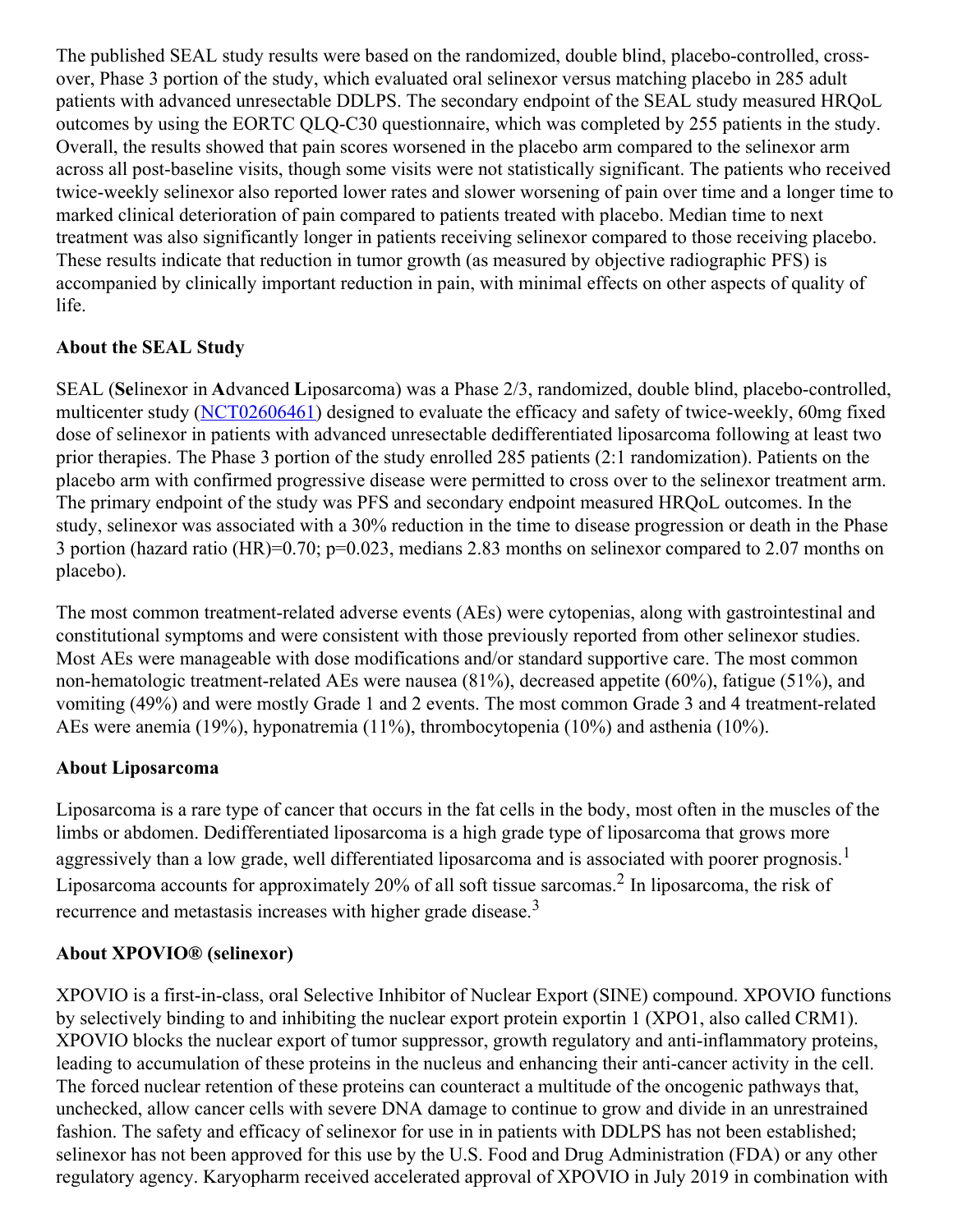The published SEAL study results were based on the randomized, double blind, placebo-controlled, crossover, Phase 3 portion of the study, which evaluated oral selinexor versus matching placebo in 285 adult patients with advanced unresectable DDLPS. The secondary endpoint of the SEAL study measured HRQoL outcomes by using the EORTC QLQ-C30 questionnaire, which was completed by 255 patients in the study. Overall, the results showed that pain scores worsened in the placebo arm compared to the selinexor arm across all post-baseline visits, though some visits were not statistically significant. The patients who received twice-weekly selinexor also reported lower rates and slower worsening of pain over time and a longer time to marked clinical deterioration of pain compared to patients treated with placebo. Median time to next treatment was also significantly longer in patients receiving selinexor compared to those receiving placebo. These results indicate that reduction in tumor growth (as measured by objective radiographic PFS) is accompanied by clinically important reduction in pain, with minimal effects on other aspects of quality of life.

## **About the SEAL Study**

SEAL (**Se**linexor in **A**dvanced **L**iposarcoma) was a Phase 2/3, randomized, double blind, placebo-controlled, multicenter study [\(NCT02606461](https://c212.net/c/link/?t=0&l=en&o=3132156-1&h=3853613254&u=https%3A%2F%2Fclinicaltrials.gov%2Fct2%2Fshow%2FNCT02606461%3Fterm%3DNCT02606461%26draw%3D2%26rank%3D1&a=NCT02606461)) designed to evaluate the efficacy and safety of twice-weekly, 60mg fixed dose of selinexor in patients with advanced unresectable dedifferentiated liposarcoma following at least two prior therapies. The Phase 3 portion of the study enrolled 285 patients (2:1 randomization). Patients on the placebo arm with confirmed progressive disease were permitted to cross over to the selinexor treatment arm. The primary endpoint of the study was PFS and secondary endpoint measured HRQoL outcomes. In the study, selinexor was associated with a 30% reduction in the time to disease progression or death in the Phase 3 portion (hazard ratio (HR)=0.70; p=0.023, medians 2.83 months on selinexor compared to 2.07 months on placebo).

The most common treatment-related adverse events (AEs) were cytopenias, along with gastrointestinal and constitutional symptoms and were consistent with those previously reported from other selinexor studies. Most AEs were manageable with dose modifications and/or standard supportive care. The most common non-hematologic treatment-related AEs were nausea (81%), decreased appetite (60%), fatigue (51%), and vomiting (49%) and were mostly Grade 1 and 2 events. The most common Grade 3 and 4 treatment-related AEs were anemia (19%), hyponatremia (11%), thrombocytopenia (10%) and asthenia (10%).

## **About Liposarcoma**

Liposarcoma is a rare type of cancer that occurs in the fat cells in the body, most often in the muscles of the limbs or abdomen. Dedifferentiated liposarcoma is a high grade type of liposarcoma that grows more aggressively than a low grade, well differentiated liposarcoma and is associated with poorer prognosis.<sup>1</sup> Liposarcoma accounts for approximately 20% of all soft tissue sarcomas.<sup>2</sup> In liposarcoma, the risk of recurrence and metastasis increases with higher grade disease.<sup>3</sup>

## **About XPOVIO® (selinexor)**

XPOVIO is a first-in-class, oral Selective Inhibitor of Nuclear Export (SINE) compound. XPOVIO functions by selectively binding to and inhibiting the nuclear export protein exportin 1 (XPO1, also called CRM1). XPOVIO blocks the nuclear export of tumor suppressor, growth regulatory and anti-inflammatory proteins, leading to accumulation of these proteins in the nucleus and enhancing their anti-cancer activity in the cell. The forced nuclear retention of these proteins can counteract a multitude of the oncogenic pathways that, unchecked, allow cancer cells with severe DNA damage to continue to grow and divide in an unrestrained fashion. The safety and efficacy of selinexor for use in in patients with DDLPS has not been established; selinexor has not been approved for this use by the U.S. Food and Drug Administration (FDA) or any other regulatory agency. Karyopharm received accelerated approval of XPOVIO in July 2019 in combination with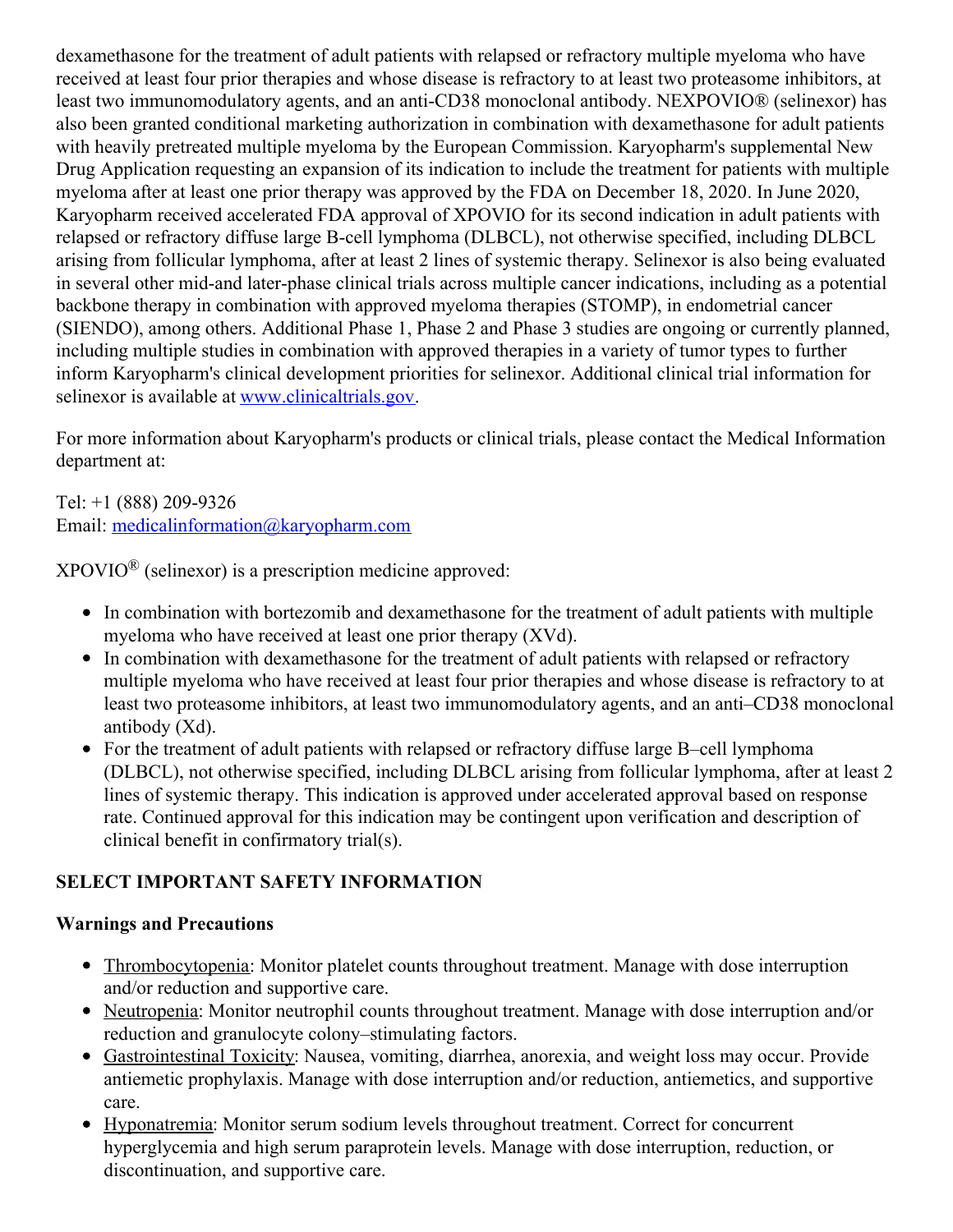dexamethasone for the treatment of adult patients with relapsed or refractory multiple myeloma who have received at least four prior therapies and whose disease is refractory to at least two proteasome inhibitors, at least two immunomodulatory agents, and an anti-CD38 monoclonal antibody. NEXPOVIO® (selinexor) has also been granted conditional marketing authorization in combination with dexamethasone for adult patients with heavily pretreated multiple myeloma by the European Commission. Karyopharm's supplemental New Drug Application requesting an expansion of its indication to include the treatment for patients with multiple myeloma after at least one prior therapy was approved by the FDA on December 18, 2020. In June 2020, Karyopharm received accelerated FDA approval of XPOVIO for its second indication in adult patients with relapsed or refractory diffuse large B-cell lymphoma (DLBCL), not otherwise specified, including DLBCL arising from follicular lymphoma, after at least 2 lines of systemic therapy. Selinexor is also being evaluated in several other mid-and later-phase clinical trials across multiple cancer indications, including as a potential backbone therapy in combination with approved myeloma therapies (STOMP), in endometrial cancer (SIENDO), among others. Additional Phase 1, Phase 2 and Phase 3 studies are ongoing or currently planned, including multiple studies in combination with approved therapies in a variety of tumor types to further inform Karyopharm's clinical development priorities for selinexor. Additional clinical trial information for selinexor is available at [www.clinicaltrials.gov](https://c212.net/c/link/?t=0&l=en&o=3132156-1&h=4282165724&u=http%3A%2F%2Fwww.clinicaltrials.gov%2F&a=www.clinicaltrials.gov).

For more information about Karyopharm's products or clinical trials, please contact the Medical Information department at:

Tel: +1 (888) 209-9326 Email: [medicalinformation@karyopharm.com](mailto:medicalinformation@karyopharm.com)

 $XPOVIO^{\circledR}$  (selinexor) is a prescription medicine approved:

- In combination with bortezomib and dexamethasone for the treatment of adult patients with multiple myeloma who have received at least one prior therapy (XVd).
- In combination with dexamethasone for the treatment of adult patients with relapsed or refractory multiple myeloma who have received at least four prior therapies and whose disease is refractory to at least two proteasome inhibitors, at least two immunomodulatory agents, and an anti–CD38 monoclonal antibody (Xd).
- For the treatment of adult patients with relapsed or refractory diffuse large B–cell lymphoma (DLBCL), not otherwise specified, including DLBCL arising from follicular lymphoma, after at least 2 lines of systemic therapy. This indication is approved under accelerated approval based on response rate. Continued approval for this indication may be contingent upon verification and description of clinical benefit in confirmatory trial(s).

# **SELECT IMPORTANT SAFETY INFORMATION**

## **Warnings and Precautions**

- Thrombocytopenia: Monitor platelet counts throughout treatment. Manage with dose interruption and/or reduction and supportive care.
- Neutropenia: Monitor neutrophil counts throughout treatment. Manage with dose interruption and/or reduction and granulocyte colony–stimulating factors.
- Gastrointestinal Toxicity: Nausea, vomiting, diarrhea, anorexia, and weight loss may occur. Provide antiemetic prophylaxis. Manage with dose interruption and/or reduction, antiemetics, and supportive care.
- Hyponatremia: Monitor serum sodium levels throughout treatment. Correct for concurrent hyperglycemia and high serum paraprotein levels. Manage with dose interruption, reduction, or discontinuation, and supportive care.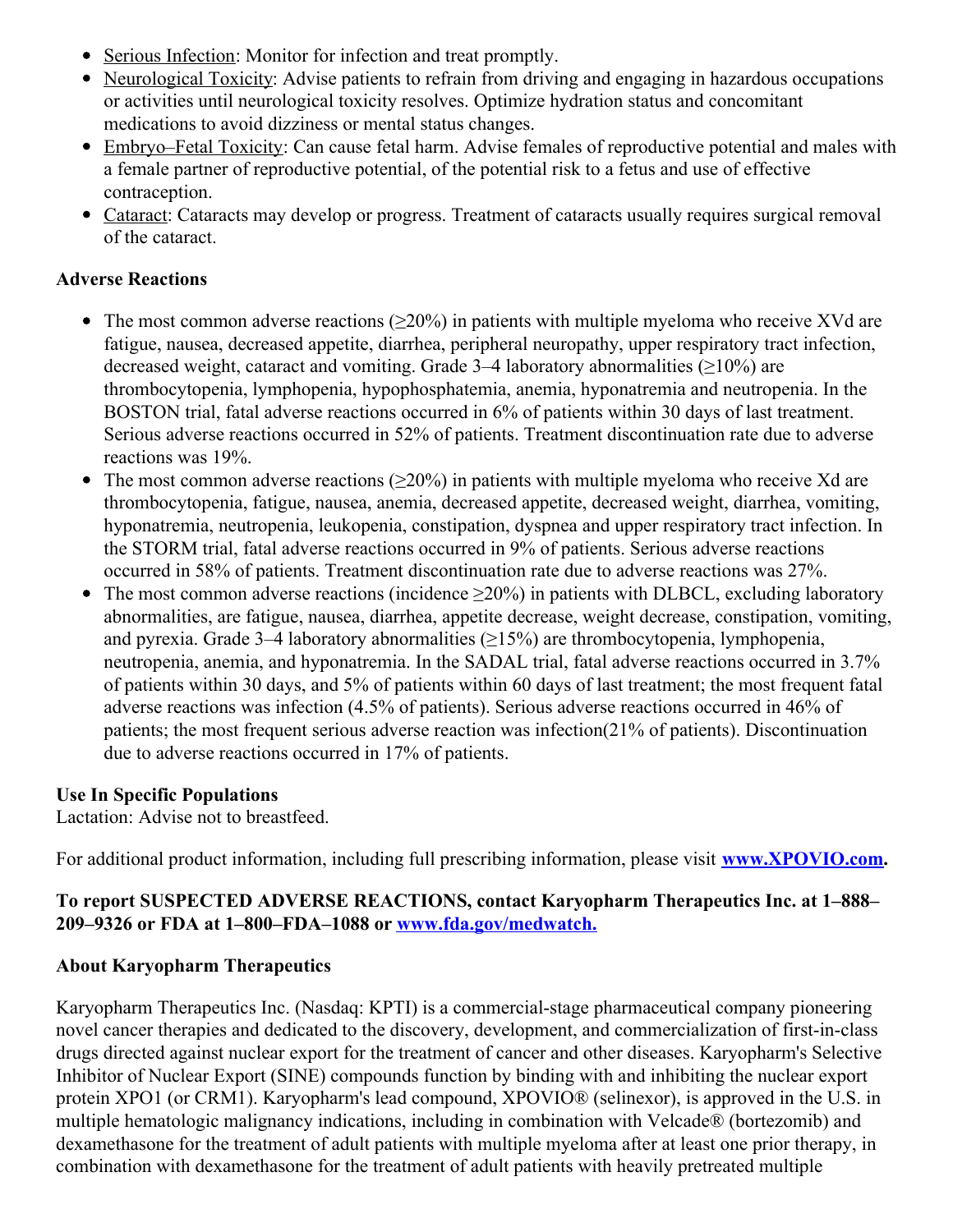- Serious Infection: Monitor for infection and treat promptly.
- Neurological Toxicity: Advise patients to refrain from driving and engaging in hazardous occupations or activities until neurological toxicity resolves. Optimize hydration status and concomitant medications to avoid dizziness or mental status changes.
- Embryo–Fetal Toxicity: Can cause fetal harm. Advise females of reproductive potential and males with a female partner of reproductive potential, of the potential risk to a fetus and use of effective contraception.
- Cataract: Cataracts may develop or progress. Treatment of cataracts usually requires surgical removal of the cataract.

#### **Adverse Reactions**

- The most common adverse reactions ( $\geq 20\%$ ) in patients with multiple myeloma who receive XVd are fatigue, nausea, decreased appetite, diarrhea, peripheral neuropathy, upper respiratory tract infection, decreased weight, cataract and vomiting. Grade  $3-4$  laboratory abnormalities ( $\geq$ 10%) are thrombocytopenia, lymphopenia, hypophosphatemia, anemia, hyponatremia and neutropenia. In the BOSTON trial, fatal adverse reactions occurred in 6% of patients within 30 days of last treatment. Serious adverse reactions occurred in 52% of patients. Treatment discontinuation rate due to adverse reactions was 19%.
- $\bullet$ The most common adverse reactions  $(\geq 20\%)$  in patients with multiple myeloma who receive Xd are thrombocytopenia, fatigue, nausea, anemia, decreased appetite, decreased weight, diarrhea, vomiting, hyponatremia, neutropenia, leukopenia, constipation, dyspnea and upper respiratory tract infection. In the STORM trial, fatal adverse reactions occurred in 9% of patients. Serious adverse reactions occurred in 58% of patients. Treatment discontinuation rate due to adverse reactions was 27%.
- The most common adverse reactions (incidence  $\geq 20\%$ ) in patients with DLBCL, excluding laboratory abnormalities, are fatigue, nausea, diarrhea, appetite decrease, weight decrease, constipation, vomiting, and pyrexia. Grade 3–4 laboratory abnormalities  $(\geq 15\%)$  are thrombocytopenia, lymphopenia, neutropenia, anemia, and hyponatremia. In the SADAL trial, fatal adverse reactions occurred in 3.7% of patients within 30 days, and 5% of patients within 60 days of last treatment; the most frequent fatal adverse reactions was infection (4.5% of patients). Serious adverse reactions occurred in 46% of patients; the most frequent serious adverse reaction was infection(21% of patients). Discontinuation due to adverse reactions occurred in 17% of patients.

#### **Use In Specific Populations**

Lactation: Advise not to breastfeed.

For additional product information, including full prescribing information, please visit **[www.XPOVIO.com](https://c212.net/c/link/?t=0&l=en&o=3132156-1&h=1367440418&u=http%3A%2F%2Fwww.xpovio.com%2F&a=www.XPOVIO.com).**

#### **To report SUSPECTED ADVERSE REACTIONS, contact Karyopharm Therapeutics Inc. at 1–888– 209–9326 or FDA at 1–800–FDA–1088 or [www.fda.gov/medwatch.](https://c212.net/c/link/?t=0&l=en&o=3132156-1&h=2054581425&u=http%3A%2F%2Fwww.fda.gov%2Fmedwatch&a=www.fda.gov%2Fmedwatch.)**

#### **About Karyopharm Therapeutics**

Karyopharm Therapeutics Inc. (Nasdaq: KPTI) is a commercial-stage pharmaceutical company pioneering novel cancer therapies and dedicated to the discovery, development, and commercialization of first-in-class drugs directed against nuclear export for the treatment of cancer and other diseases. Karyopharm's Selective Inhibitor of Nuclear Export (SINE) compounds function by binding with and inhibiting the nuclear export protein XPO1 (or CRM1). Karyopharm's lead compound, XPOVIO® (selinexor), is approved in the U.S. in multiple hematologic malignancy indications, including in combination with Velcade® (bortezomib) and dexamethasone for the treatment of adult patients with multiple myeloma after at least one prior therapy, in combination with dexamethasone for the treatment of adult patients with heavily pretreated multiple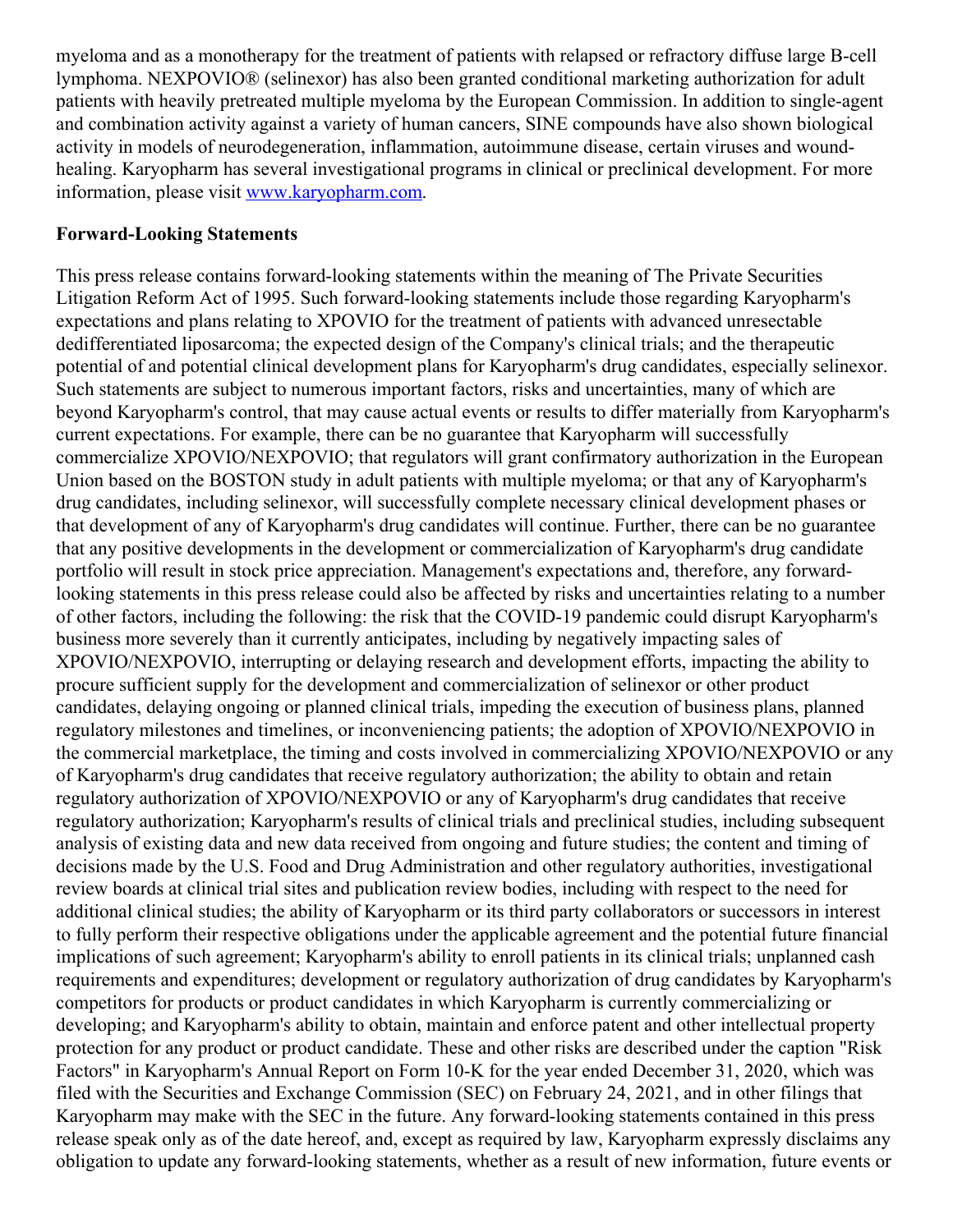myeloma and as a monotherapy for the treatment of patients with relapsed or refractory diffuse large B-cell lymphoma. NEXPOVIO® (selinexor) has also been granted conditional marketing authorization for adult patients with heavily pretreated multiple myeloma by the European Commission. In addition to single-agent and combination activity against a variety of human cancers, SINE compounds have also shown biological activity in models of neurodegeneration, inflammation, autoimmune disease, certain viruses and woundhealing. Karyopharm has several investigational programs in clinical or preclinical development. For more information, please visit [www.karyopharm.com](https://c212.net/c/link/?t=0&l=en&o=3132156-1&h=3689675246&u=http%3A%2F%2Fwww.karyopharm.com%2F&a=www.karyopharm.com).

#### **Forward-Looking Statements**

This press release contains forward-looking statements within the meaning of The Private Securities Litigation Reform Act of 1995. Such forward-looking statements include those regarding Karyopharm's expectations and plans relating to XPOVIO for the treatment of patients with advanced unresectable dedifferentiated liposarcoma; the expected design of the Company's clinical trials; and the therapeutic potential of and potential clinical development plans for Karyopharm's drug candidates, especially selinexor. Such statements are subject to numerous important factors, risks and uncertainties, many of which are beyond Karyopharm's control, that may cause actual events or results to differ materially from Karyopharm's current expectations. For example, there can be no guarantee that Karyopharm will successfully commercialize XPOVIO/NEXPOVIO; that regulators will grant confirmatory authorization in the European Union based on the BOSTON study in adult patients with multiple myeloma; or that any of Karyopharm's drug candidates, including selinexor, will successfully complete necessary clinical development phases or that development of any of Karyopharm's drug candidates will continue. Further, there can be no guarantee that any positive developments in the development or commercialization of Karyopharm's drug candidate portfolio will result in stock price appreciation. Management's expectations and, therefore, any forwardlooking statements in this press release could also be affected by risks and uncertainties relating to a number of other factors, including the following: the risk that the COVID-19 pandemic could disrupt Karyopharm's business more severely than it currently anticipates, including by negatively impacting sales of XPOVIO/NEXPOVIO, interrupting or delaying research and development efforts, impacting the ability to procure sufficient supply for the development and commercialization of selinexor or other product candidates, delaying ongoing or planned clinical trials, impeding the execution of business plans, planned regulatory milestones and timelines, or inconveniencing patients; the adoption of XPOVIO/NEXPOVIO in the commercial marketplace, the timing and costs involved in commercializing XPOVIO/NEXPOVIO or any of Karyopharm's drug candidates that receive regulatory authorization; the ability to obtain and retain regulatory authorization of XPOVIO/NEXPOVIO or any of Karyopharm's drug candidates that receive regulatory authorization; Karyopharm's results of clinical trials and preclinical studies, including subsequent analysis of existing data and new data received from ongoing and future studies; the content and timing of decisions made by the U.S. Food and Drug Administration and other regulatory authorities, investigational review boards at clinical trial sites and publication review bodies, including with respect to the need for additional clinical studies; the ability of Karyopharm or its third party collaborators or successors in interest to fully perform their respective obligations under the applicable agreement and the potential future financial implications of such agreement; Karyopharm's ability to enroll patients in its clinical trials; unplanned cash requirements and expenditures; development or regulatory authorization of drug candidates by Karyopharm's competitors for products or product candidates in which Karyopharm is currently commercializing or developing; and Karyopharm's ability to obtain, maintain and enforce patent and other intellectual property protection for any product or product candidate. These and other risks are described under the caption "Risk Factors" in Karyopharm's Annual Report on Form 10-K for the year ended December 31, 2020, which was filed with the Securities and Exchange Commission (SEC) on February 24, 2021, and in other filings that Karyopharm may make with the SEC in the future. Any forward-looking statements contained in this press release speak only as of the date hereof, and, except as required by law, Karyopharm expressly disclaims any obligation to update any forward-looking statements, whether as a result of new information, future events or